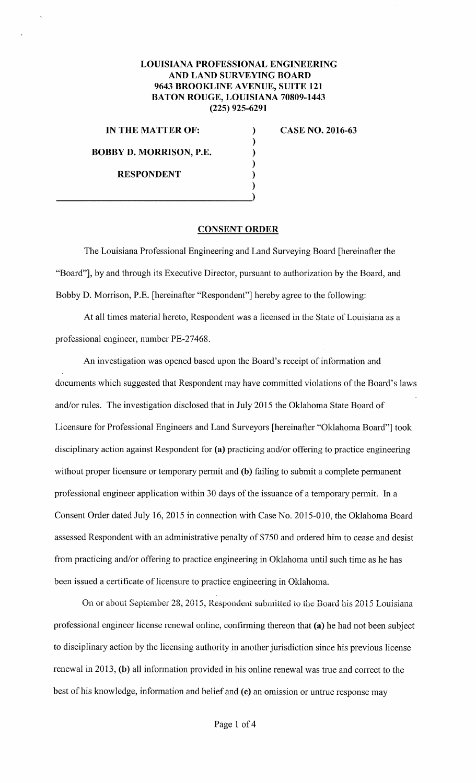## **LOUISIANA PROFESSIONAL ENGINEERING AND LAND SURVEYING BOARD 9643 BROOKLINE A VENUE, SUITE 121 BATON ROUGE, LOUISIANA 70809-1443 (225) 925-6291**

) ) ) ) )

**IN THE MATTER OF: BOBBY D. MORRISON, P.E.** 

**RESPONDENT** 

) \_\_\_\_\_\_\_\_\_\_\_\_\_\_\_\_\_\_ )

**CASE NO. 2016-63** 

## **CONSENT ORDER**

The Louisiana Professional Engineering and Land Surveying Board [hereinafter the "Board"], by and through its Executive Director, pursuant to authorization by the Board, and Bobby **D.** Morrison, P.E. [hereinafter "Respondent"] hereby agree to the following:

At all times material hereto, Respondent was a licensed in the State of Louisiana as a professional engineer, number PE-27468.

An investigation was opened based upon the Board's receipt of information and documents which suggested that Respondent may have committed violations of the Board's laws and/or rules. The investigation disclosed that in July 2015 the Oklahoma State Board of Licensure for Professional Engineers and Land Surveyors [hereinafter "Oklahoma Board"] took disciplinary action against Respondent for **(a)** practicing and/or offering to practice engineering without proper licensure or temporary permit and **(b)** failing to submit a complete permanent professional engineer application within 30 days of the issuance of a temporary pennit. In a Consent Order dated July 16, 2015 in connection with Case No. 2015-010, the Oklahoma Board assessed Respondent with an administrative penalty of \$750 and ordered him to cease and desist from practicing and/or offering to practice engineering in Oklahoma until such time as he has been issued a certificate of licensure to practice engineering in Oklahoma.

On or about September 28, 2015, Respondent submitted to the Board his 2015 Louisiana professional engineer license renewal online, confinning thereon that **(a)** he had not been subject to disciplinary action by the licensing authority in another jurisdiction since his previous license renewal in 2013, **(b)** all information provided in his online renewal was true and correct to the best of his know ledge, information and belief and ( **c)** an omission or untrue response may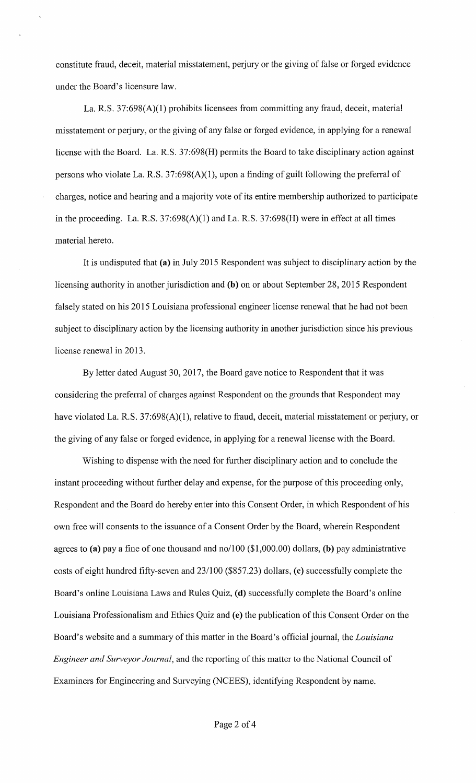constitute fraud, deceit, material misstatement, perjury or the giving of false or forged evidence under the Board's licensure law.

La. R.S. 37:698(A)(l) prohibits licensees from committing any fraud, deceit, material misstatement or perjury, or the giving of any false or forged evidence, in applying for a renewal license with the Board. La. R.S. 37:698(H) permits the Board to take disciplinary action against persons who violate La. R.S.  $37:698(A)(1)$ , upon a finding of guilt following the preferral of charges, notice and hearing and a majority vote of its entire membership authorized to participate in the proceeding. La. R.S. 37:698(A)(l) and La. R.S. 37:698(H) were in effect at all times material hereto.

It is undisputed that **(a)** in July 2015 Respondent was subject to disciplinary action by the licensing authority in another jurisdiction and **(b)** on or about September 28, 2015 Respondent falsely stated on his 2015 Louisiana professional engineer license renewal that he had not been subject to disciplinary action by the licensing authority in another jurisdiction since his previous license renewal in 2013.

By letter dated August 30, 2017, the Board gave notice to Respondent that it was considering the preferral of charges against Respondent on the grounds that Respondent may have violated La. R.S. 37:698(A)(1), relative to fraud, deceit, material misstatement or perjury, or the giving of any false or forged evidence, in applying for a renewal license with the Board.

Wishing to dispense with the need for further disciplinary action and to conclude the instant proceeding without further delay and expense, for the purpose of this proceeding only, Respondent and the Board do hereby enter into this Consent Order, in which Respondent of his own free will consents to the issuance of a Consent Order by the Board, wherein Respondent agrees to **(a)** pay a fine of one thousand and no/100 (\$1,000.00) dollars, **(b)** pay administrative costs of eight hundred fifty-seven and 23/100 (\$857.23) dollars, **(c)** successfully complete the Board's online Louisiana Laws and Rules Quiz, **(d)** successfully complete the Board's online Louisiana Professionalism and Ethics Quiz and (e) the publication of this Consent Order on the Board's website and a summary of this matter in the Board's official journal, the *Louisiana Engineer and Surveyor Journal,* and the reporting of this matter to the National Council of Examiners for Engineering and Surveying (NCEES), identifying Respondent by name.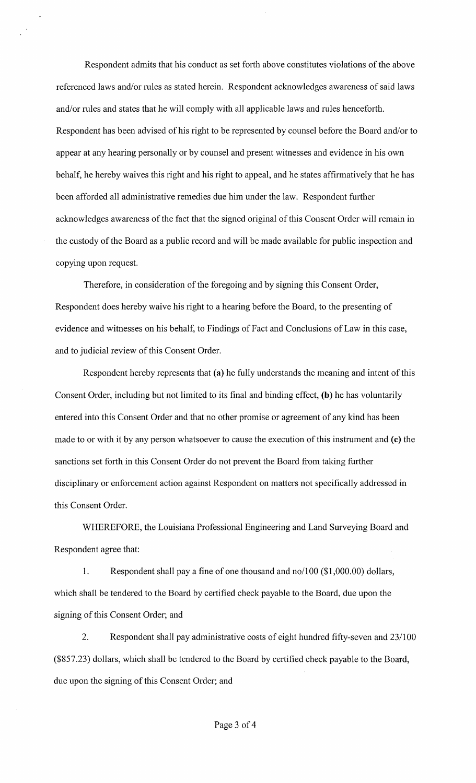Respondent admits that his conduct as set forth above constitutes violations of the above referenced laws and/or rules as stated herein. Respondent acknowledges awareness of said laws and/or rules and states that he will comply with all applicable laws and rules henceforth. Respondent has been advised of his right to be represented by counsel before the Board and/or to appear at any hearing personally or by counsel and present witnesses and evidence in his own behalf, he hereby waives this right and his right to appeal, and he states affirmatively that he has been afforded all administrative remedies due him under the law. Respondent further acknowledges awareness of the fact that the signed original of this Consent Order will remain in the custody of the Board as a public record and will be made available for public inspection and copying upon request.

Therefore, in consideration of the foregoing and by signing this Consent Order, Respondent does hereby waive his right to a hearing before the Board, to the presenting of evidence and witnesses on his behalf, to Findings of Fact and Conclusions of Law in this case, and to judicial review of this Consent Order.

Respondent hereby represents that **(a)** he fully understands the meaning and intent of this Consent Order, including but not limited to its final and binding effect, **(b)** he has voluntarily entered into this Consent Order and that no other promise or agreement of any kind has been made to or with it by any person whatsoever to cause the execution of this instrument and **(c)** the sanctions set forth in this Consent Order do not prevent the Board from taking further disciplinary or enforcement action against Respondent on matters not specifically addressed in this Consent Order.

WHEREFORE, the Louisiana Professional Engineering and Land Surveying Board and Respondent agree that:

1. Respondent shall pay a fine of one thousand and no/100 (\$1,000.00) dollars, which shall be tendered to the Board by certified check payable to the Board, due upon the signing of this Consent Order; and

2. Respondent shall pay administrative costs of eight hundred fifty-seven and 23/100 (\$857.23) dollars, which shall be tendered to the Board by certified check payable to the Board, due upon the signing of this Consent Order; and